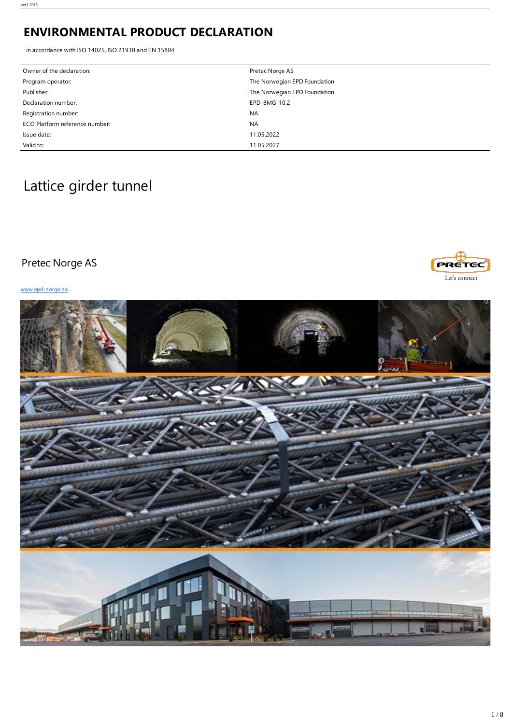## **ENVIRONMENTAL PRODUCT DECLARATION**

in accordance with ISO 14025, ISO 21930 and EN 15804

| Owner of the declaration:      | Pretec Norge AS              |
|--------------------------------|------------------------------|
| Program operator:              | The Norwegian EPD Foundation |
| Publisher:                     | The Norwegian EPD Foundation |
| Declaration number:            | EPD-BMG-10.2                 |
| Registration number:           | <b>INA</b>                   |
| ECO Platform reference number: | <b>NA</b>                    |
| Issue date:                    | 11.05.2022                   |
| Valid to:                      | 11.05.2027                   |

# Lattice girder tunnel

## Pretec Norge AS

[www.epd-norge.no](http://www.epd-norge.no)



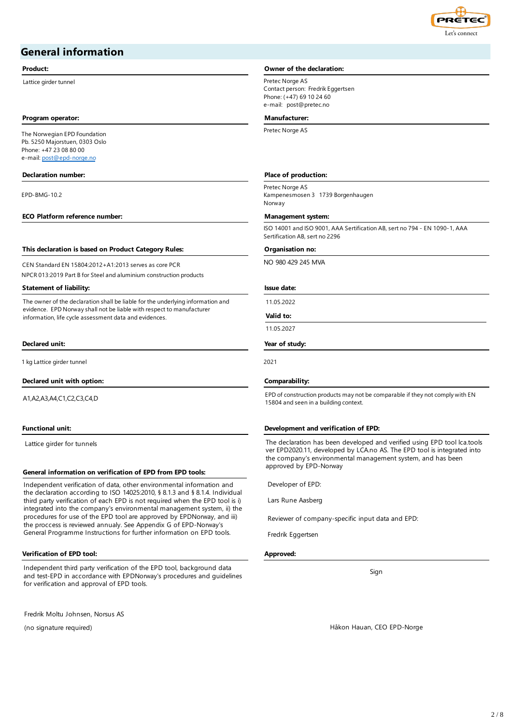

## **General information**

Lattice girder tunnel and the pretection of the Pretectual Pretectual Pretectual Pretectual Pretectual Pretectual Pretectual Pretectual Pretectual Pretectual Pretectual Pretectual Pretectual Pretectual Pretectual Pretectua

### **Program operator: Manufacturer:**

The Norwegian EPD Foundation Pb. 5250 Majorstuen, 0303 Oslo Phone: +47 23 08 80 00 e-mail: [post@epd-norge.no](mailto:post@epd-norge.no)

### **Declaration number: Place of production:**

EPD-BMG-10.2

### **ECO Platform reference number: Management system:**

### **This declaration is based on Product Category Rules: Organisation no:**

CEN Standard EN 15804:2012+A1:2013 serves as core PCR NPCR 013:2019 Part B for Steel and aluminium construction products

### **Statement of liability: Issue date:**

The owner of the declaration shall be liable for the underlying information and evidence. EPD Norway shall not be liable with respect to manufacturer information, life cycle assessment data and evidences.

### **Declared unit: Year of study:**

1 kg Lattice girder tunnel 2021

### **Declared unit with option: Comparability:**

A1,A2,A3,A4,C1,C2,C3,C4,D

Lattice girder for tunnels

## **General information on verification of EPD from EPD tools:**

Independent verification of data, other environmental information and the declaration according to ISO 14025:2010, § 8.1.3 and § 8.1.4. Individual third party verification of each EPD is not required when the EPD tool is i) integrated into the company's environmental management system, ii) the procedures for use of the EPD tool are approved by EPDNorway, and iii) the proccess is reviewed annualy. See Appendix G of EPD-Norway's General Programme Instructions for further information on EPD tools.

### **Verification of EPD tool: Approved:**

Independent third party verification of the EPD tool, background data and test-EPD in accordance with EPDNorway's procedures and guidelines for verification and approval of EPD tools.

Fredrik Moltu Johnsen, Norsus AS

(no signature required)

## **Product: Owner of the declaration:**

Contact person: Fredrik Eggertsen Phone: (+47) 69 10 24 60 e-mail: post@pretec.no

Pretec Norge AS

Pretec Norge AS Kampenesmosen 3 1739 Borgenhaugen Norway

ISO 14001 and ISO 9001, AAA Sertification AB, sert no 794 - EN 1090-1, AAA Sertification AB, sert no 2296

NO 980 429 245 MVA

11.05.2022

**Valid to:**

## 11.05.2027

EPD of construction products may not be comparable if they not comply with EN 15804 and seen in a building context.

### **Functional unit: Development and verification of EPD:**

The declaration has been developed and verified using EPD tool lca.tools ver EPD2020.11, developed by LCA.no AS. The EPD tool is integrated into the company's environmental management system, and has been approved by EPD-Norway

Developer of EPD:

Lars Rune Aasberg

Reviewer of company-specific input data and EPD:

Fredrik Eggertsen

Sign

Håkon Hauan, CEO EPD-Norge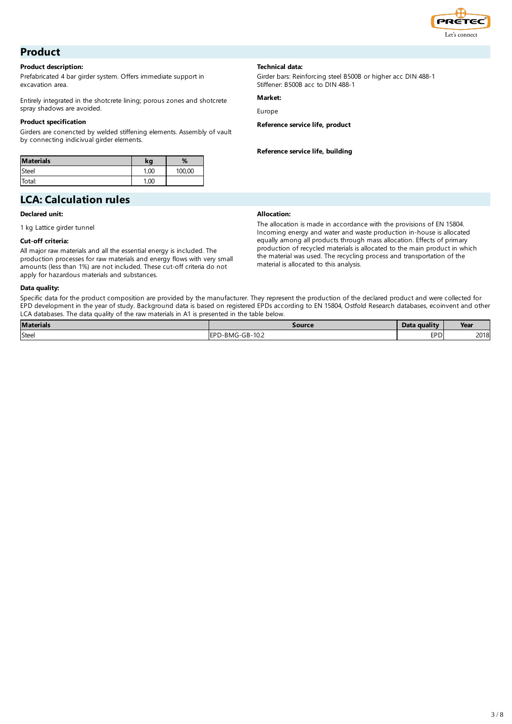

## **Product**

## **Product description:**

Prefabricated 4 bar girder system. Offers immediate support in excavation area.

Entirely integrated in the shotcrete lining; porous zones and shotcrete spray shadows are avoided.

## **Product specification**

Girders are conencted by welded stiffening elements. Assembly of vault by connecting indicivual girder elements.

| <b>Materials</b> | kq   | %      |
|------------------|------|--------|
| Steel            | 1.00 | 100,00 |
| Total:           | 1.00 |        |

## **LCA: Calculation rules**

## **Declared unit:**

1 kg Lattice girder tunnel

## **Cut-off criteria:**

All major raw materials and all the essential energy is included. The production processes for raw materials and energy flows with very small amounts (less than 1%) are not included. These cut-off criteria do not apply for hazardous materials and substances.

## **Data quality:**

Specific data for the product composition are provided by the manufacturer. They represent the production of the declared product and were collected for EPD development in the year of study. Background data is based on registered EPDs according to EN 15804, Ostfold Research databases, ecoinvent and other LCA databases. The data quality of the raw materials in A1 is presented in the table below.

| <b>Materials</b> | Source                                                     | $\bullet$<br>Data quality | Year                |
|------------------|------------------------------------------------------------|---------------------------|---------------------|
| Steel            | $\sim$ $\sim$<br>$\sim$<br><b>IEPF</b><br>''''-BMG-GB-T0.2 | <b>EPD</b>                | 2010<br><b>2018</b> |

## **Technical data:**

Girder bars: Reinforcing steel B500B or higher acc DIN 488-1 Stiffener: B500B acc to DIN 488-1

## **Market:**

Europe

**Reference service life, product**

**Reference service life, building**

## **Allocation:**

The allocation is made in accordance with the provisions of EN 15804. Incoming energy and water and waste production in-house is allocated equally among all products through mass allocation. Effects of primary production of recycled materials is allocated to the main product in which the material was used. The recycling process and transportation of the material is allocated to this analysis.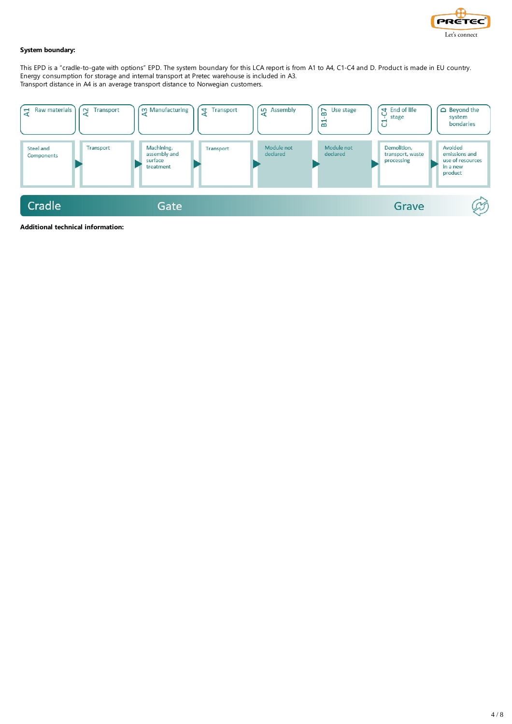

## **System boundary:**

This EPD is a "cradle-to-gate with options" EPD. The system boundary for this LCA report is from A1 to A4, C1-C4 and D. Product is made in EU country. Energy consumption for storage and internal transport at Pretec warehouse is included in A3. Transport distance in A4 is an average transport distance to Norwegian customers.



**Additional technical information:**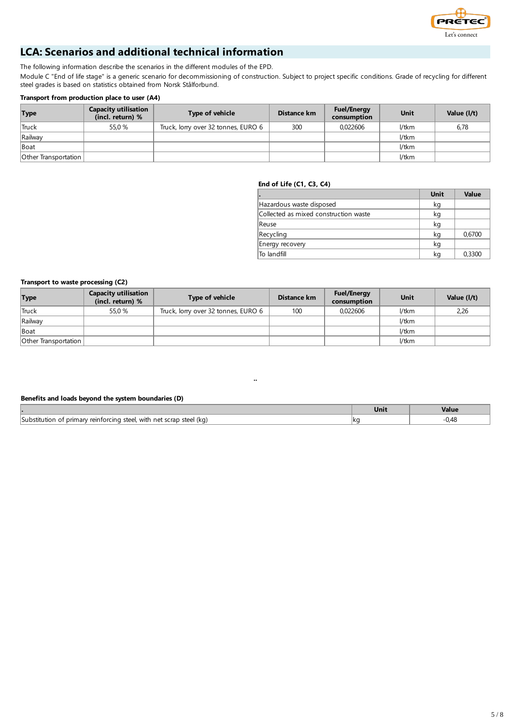

## **LCA: Scenarios and additional technical information**

The following information describe the scenarios in the different modules of the EPD.

Module C "End of life stage" is a generic scenario for decommissioning of construction. Subject to project specific conditions. Grade of recycling for different steel grades is based on statistics obtained from Norsk Stålforbund.

## **Transport from production place to user (A4)**

| <b>Type</b>          | <b>Capacity utilisation</b><br>(incl. return) % | Type of vehicle                     | Distance km | <b>Fuel/Energy</b><br>consumption | Unit  | Value (I/t) |
|----------------------|-------------------------------------------------|-------------------------------------|-------------|-----------------------------------|-------|-------------|
| <b>Truck</b>         | 55.0 %                                          | Truck, lorry over 32 tonnes, EURO 6 | 300         | 0.022606                          | l/tkm | 6,78        |
| Railway              |                                                 |                                     |             |                                   | l/tkm |             |
| Boat                 |                                                 |                                     |             |                                   | l/tkm |             |
| Other Transportation |                                                 |                                     |             |                                   | l/tkm |             |

## **End of Life (C1, C3, C4)**

| ı.                                    | Unit | Value  |
|---------------------------------------|------|--------|
| Hazardous waste disposed              | kg   |        |
| Collected as mixed construction waste | kg   |        |
| Reuse                                 | kg   |        |
| Recycling                             | kg   | 0,6700 |
| Energy recovery                       | kg   |        |
| lTo landfill                          | kg   | 0,3300 |

## **Transport to waste processing (C2)**

| <b>Type</b>                 | <b>Capacity utilisation</b><br>(incl. return) % | <b>Type of vehicle</b>              | Distance km | <b>Fuel/Energy</b><br>consumption | Unit  | Value (I/t) |
|-----------------------------|-------------------------------------------------|-------------------------------------|-------------|-----------------------------------|-------|-------------|
| <b>Truck</b>                | 55.0 %                                          | Truck, lorry over 32 tonnes, EURO 6 | 100         | 0.022606                          | l/tkm | 2,26        |
| Railway                     |                                                 |                                     |             |                                   | 1/tkm |             |
| <b>Boat</b>                 |                                                 |                                     |             |                                   | 1/tkm |             |
| <b>Other Transportation</b> |                                                 |                                     |             |                                   | 1/tkm |             |

## **Benefits and loads beyond the system boundaries (D)**

|                                                                                               | <u>Jnn</u> | Value |
|-----------------------------------------------------------------------------------------------|------------|-------|
| steel.<br>' (ka<br>net scrap<br>with<br>f primary reinforcing<br>steel<br>Substitution<br>OT. | lkc        |       |

¨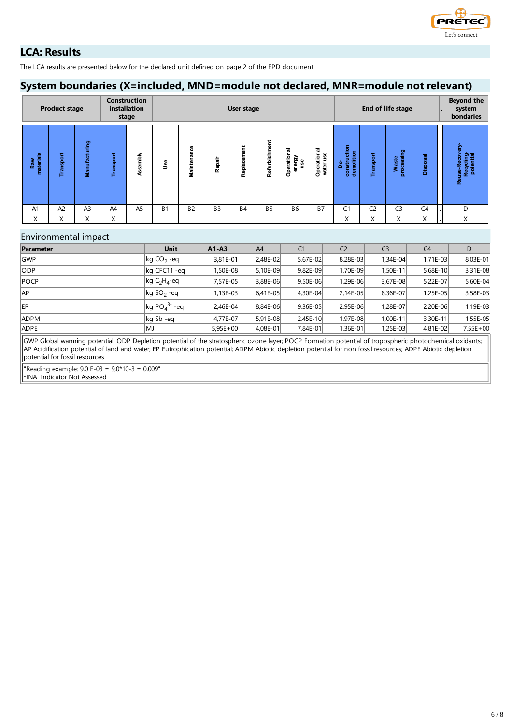

## **LCA: Results**

The LCA results are presented below for the declared unit defined on page 2 of the EPD document.

## **System boundaries (X=included, MND=module not declared, MNR=module not relevant)**

|                  | <b>Product stage</b> |                |           | <b>Construction</b><br>installation<br>stage |            | End of life stage<br>User stage |                |                  |               |                                      |                          |                                  | <b>Beyond the</b><br>system<br>bondaries |                         |                |                                               |
|------------------|----------------------|----------------|-----------|----------------------------------------------|------------|---------------------------------|----------------|------------------|---------------|--------------------------------------|--------------------------|----------------------------------|------------------------------------------|-------------------------|----------------|-----------------------------------------------|
| Raw<br>materials | Transport            | Manufacturing  | Transport | Assembly                                     | <b>Jse</b> | 8<br>둖<br>Ë<br>Main             | Repair         | ement<br>Replace | Refurbishment | ᠊ᢛ<br>-<br>Operatio<br>energy<br>use | Operational<br>water use | construction<br>demolition<br>ဒီ | Transport                                | processing<br>aste<br>3 | Disposal       | ွင့<br>Reuse-Recov<br>Recycling-<br>potential |
| A1               | A <sup>2</sup>       | A <sub>3</sub> | A4        | A <sub>5</sub>                               | <b>B1</b>  | <b>B2</b>                       | B <sub>3</sub> | <b>B4</b>        | <b>B5</b>     | B6                                   | <b>B7</b>                | C1                               | C2                                       | C <sub>3</sub>          | C <sub>4</sub> | D                                             |
| X                | X                    | X              | X         |                                              |            |                                 |                |                  |               |                                      |                          | $\checkmark$<br>∧                | X                                        | X                       | X              | X                                             |

## Environmental impact

| Parameter   | <b>Unit</b>                                          | $A1 - A3$    | A4         | C <sub>1</sub> | C <sub>2</sub> | C <sub>3</sub> | C <sub>4</sub> | D          |
|-------------|------------------------------------------------------|--------------|------------|----------------|----------------|----------------|----------------|------------|
| <b>GWP</b>  | $\log$ CO <sub>2</sub> -eq                           | $3,81E-01$   | 2,48E-02   | 5.67E-02       | 8,28E-03       | 1.34E-04       | $1.71E - 03$   | 8,03E-01   |
| ODP         | kg CFC11 -eq                                         | 1.50E-08     | 5,10E-09   | 9.82E-09       | 1.70E-09       | 1,50E-11       | 5,68E-10       | 3,31E-08   |
| <b>POCP</b> | $\left  \text{kg C}_2 \text{H}_4 \text{-eq} \right $ | 7.57E-05l    | 3,88E-06   | 9.50E-06       | 1,29E-06       | $3,67E-08$     | 5,22E-07       | 5,60E-04   |
| AP          | $\log SO_2$ -eq                                      | $1.13E - 03$ | $6,41E-05$ | 4.30E-04       | $2,14E-05$     | 8,36E-07       | 1.25E-05l      | 3,58E-03   |
| EP          | $\log PO_4^3$ - eq                                   | 2,46E-04     | 8,84E-06   | $9,36E-05$     | 2,95E-06       | 1,28E-07       | 2.20E-06       | 1,19E-03   |
| <b>ADPM</b> | $\log$ Sb -eq                                        | 4.77E-07     | $5,91E-08$ | $2,45E-10$     | 1,97E-08       | 1,00E-11       | 3,30E-11       | 1,55E-05   |
| <b>ADPE</b> | lMJ                                                  | $5,95E+00$   | 4,08E-01   | 7,84E-01       | 1,36E-01       | 1,25E-03       | 4,81E-02       | $7,55E+00$ |

GWP Global warming potential; ODP Depletion potential of the stratospheric ozone layer; POCP Formation potential of tropospheric photochemical oxidants; AP Acidification potential of land and water; EP Eutrophication potential; ADPM Abiotic depletion potential for non fossil resources; ADPE Abiotic depletion potential for fossil resources

"Reading example: 9,0 E-03 = 9,0\*10-3 = 0,009"

\*INA Indicator Not Assessed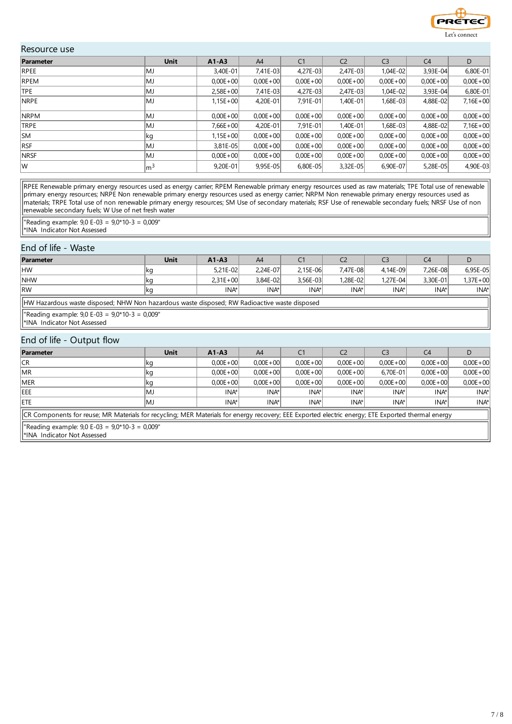

## Resource use

| Parameter   | <b>Unit</b>     | $A1 - A3$    | A4           | C <sub>1</sub> | C <sub>2</sub> | C <sub>3</sub> | C <sub>4</sub> | D            |
|-------------|-----------------|--------------|--------------|----------------|----------------|----------------|----------------|--------------|
| RPEE        | lMJ             | 3,40E-01     | 7,41E-03     | 4,27E-03       | 2,47E-03       | 1,04E-02       | 3,93E-04       | 6,80E-01     |
| <b>RPEM</b> | MJ              | $0.00E + 00$ | $0.00E + 00$ | $0,00E + 00$   | $0,00E + 00$   | $0,00E + 00$   | $0,00E + 00$   | $0,00E + 00$ |
| <b>TPE</b>  | lMJ             | $2.58E + 00$ | 7,41E-03     | 4,27E-03       | $2,47E-03$     | 1,04E-02       | 3,93E-04       | 6,80E-01     |
| <b>NRPE</b> | lMJ             | $1,15E+00$   | 4,20E-01     | 7,91E-01       | $1,40E-01$     | 1,68E-03       | 4,88E-02       | $7,16E+00$   |
| <b>NRPM</b> | lMJ             | $0.00E + 00$ | $0.00E + 00$ | $0,00E + 00$   | $0,00E + 00$   | $0.00E + 00$   | $0,00E + 00$   | $0,00E + 00$ |
| TRPE        | lMJ             | $7,66E+00$   | 4,20E-01     | 7,91E-01       | 1,40E-01       | 1,68E-03       | 4,88E-02       | $7,16E+00$   |
| <b>SM</b>   | ∣kg             | $1,15E+00$   | $0.00E + 00$ | $0,00E + 00$   | $0,00E + 00$   | $0,00E + 00$   | $0,00E + 00$   | $0,00E + 00$ |
| <b>RSF</b>  | lMJ             | 3.81E-05     | $0.00E + 00$ | $0.00E + 00$   | $0.00E + 00$   | $0.00E + 00$   | $0.00E + 00$   | $0,00E + 00$ |
| <b>NRSF</b> | lMJ             | $0.00E + 00$ | $0.00E + 00$ | $0,00E + 00$   | $0.00E + 00$   | $0.00E + 00$   | $0.00E + 00$   | $0.00E + 00$ |
| lw          | $\mathsf{Im}^3$ | 9,20E-01     | $9,95E-05$   | 6,80E-05       | $3,32E-05$     | 6,90E-07       | 5,28E-05       | 4,90E-03     |

RPEE Renewable primary energy resources used as energy carrier; RPEM Renewable primary energy resources used as raw materials; TPE Total use of renewable primary energy resources; NRPE Non renewable primary energy resources used as energy carrier; NRPM Non renewable primary energy resources used as materials; TRPE Total use of non renewable primary energy resources; SM Use of secondary materials; RSF Use of renewable secondary fuels; NRSF Use of non renewable secondary fuels; W Use of net fresh water

"Reading example: 9,0 E-03 = 9,0\*10-3 = 0,009" \*INA Indicator Not Assessed

## End of life - Waste

| Parameter                    | Unit                                                                                         | $A1 - A3$        | A4       | C <sub>1</sub> | C <sub>2</sub> | C <sub>3</sub> | C <sub>4</sub> |                  |  |  |
|------------------------------|----------------------------------------------------------------------------------------------|------------------|----------|----------------|----------------|----------------|----------------|------------------|--|--|
| HW                           | ∣kg                                                                                          | $5.21E - 02$     | 2.24E-07 | 2.15E-06       | 7.47E-08       | 4.14E-09       | 7.26E-08       | 6.95E-05         |  |  |
| <b>NHW</b>                   | ∣kg                                                                                          | $2.31E + 00$     | 3.84E-02 | 3.56E-03       | 1.28E-02l      | 1.27E-04       | 3.30E-01       | $1,37E+00$       |  |  |
| <b>RW</b>                    | ∣kg                                                                                          | INA <sup>*</sup> | INA*     | INA*           | INA*           | $INA*$         | INA*           | INA <sup>*</sup> |  |  |
|                              | HW Hazardous waste disposed; NHW Non hazardous waste disposed; RW Radioactive waste disposed |                  |          |                |                |                |                |                  |  |  |
| I*INA Indicator Not Assessed | "Reading example: $9.0 E-03 = 9.0*10-3 = 0.009"$                                             |                  |          |                |                |                |                |                  |  |  |

## End of life - Output flow

| Parameter   | Unit                                                                                                                                              | $A1 - A3$    | A4           |              | C <sub>2</sub> | C3               | C4           |              |  |
|-------------|---------------------------------------------------------------------------------------------------------------------------------------------------|--------------|--------------|--------------|----------------|------------------|--------------|--------------|--|
| CR          | ∣kg                                                                                                                                               | $0.00E + 00$ | $0.00E + 00$ | $0.00E + 00$ | $0.00E + 00$   | $0.00E + 00$     | $0.00E + 00$ | $0,00E + 00$ |  |
| <b>IMR</b>  | ∣kg                                                                                                                                               | $0.00E + 00$ | $0.00E + 00$ | $0.00E + 00$ | $0.00E + 00$   | $6.70E - 01$     | $0.00E + 00$ | $0.00E + 00$ |  |
| <b>IMER</b> | ∣kg                                                                                                                                               | $0.00E + 00$ | $0,00E + 00$ | $0.00E + 00$ | $0.00E + 00$   | $0.00E + 00$     | $0.00E + 00$ | $0,00E + 00$ |  |
| <b>IEEE</b> | IMJ                                                                                                                                               | INA*         | INA*         | INA*         | INA*I          | INA <sup>*</sup> | INA*l        | INA*         |  |
| <b>IETE</b> | lMJ                                                                                                                                               | INA*         | INA*         | INA*         | INA*           | INA*             | INA*         | INA*         |  |
|             | CR Components for reuse; MR Materials for recycling; MER Materials for energy recovery; EEE Exported electric energy; ETE Exported thermal energy |              |              |              |                |                  |              |              |  |

"Reading example: 9,0 E-03 = 9,0\*10-3 = 0,009"

\*INA Indicator Not Assessed